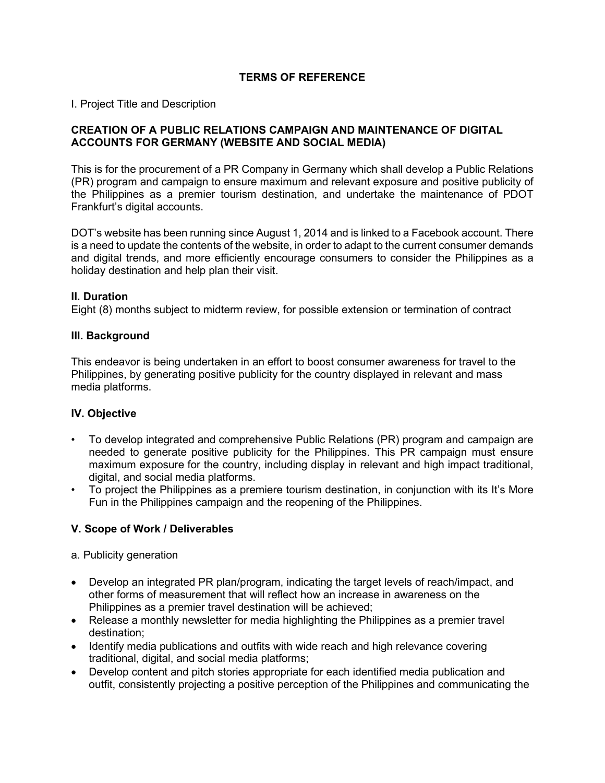## **TERMS OF REFERENCE**

I. Project Title and Description

#### **CREATION OF A PUBLIC RELATIONS CAMPAIGN AND MAINTENANCE OF DIGITAL ACCOUNTS FOR GERMANY (WEBSITE AND SOCIAL MEDIA)**

This is for the procurement of a PR Company in Germany which shall develop a Public Relations (PR) program and campaign to ensure maximum and relevant exposure and positive publicity of the Philippines as a premier tourism destination, and undertake the maintenance of PDOT Frankfurt's digital accounts.

DOT's website has been running since August 1, 2014 and is linked to a Facebook account. There is a need to update the contents of the website, in order to adapt to the current consumer demands and digital trends, and more efficiently encourage consumers to consider the Philippines as a holiday destination and help plan their visit.

#### **II. Duration**

Eight (8) months subject to midterm review, for possible extension or termination of contract

#### **III. Background**

This endeavor is being undertaken in an effort to boost consumer awareness for travel to the Philippines, by generating positive publicity for the country displayed in relevant and mass media platforms.

### **IV. Objective**

- To develop integrated and comprehensive Public Relations (PR) program and campaign are needed to generate positive publicity for the Philippines. This PR campaign must ensure maximum exposure for the country, including display in relevant and high impact traditional, digital, and social media platforms.
- To project the Philippines as a premiere tourism destination, in conjunction with its It's More Fun in the Philippines campaign and the reopening of the Philippines.

### **V. Scope of Work / Deliverables**

- a. Publicity generation
- Develop an integrated PR plan/program, indicating the target levels of reach/impact, and other forms of measurement that will reflect how an increase in awareness on the Philippines as a premier travel destination will be achieved;
- Release a monthly newsletter for media highlighting the Philippines as a premier travel destination;
- Identify media publications and outfits with wide reach and high relevance covering traditional, digital, and social media platforms;
- Develop content and pitch stories appropriate for each identified media publication and outfit, consistently projecting a positive perception of the Philippines and communicating the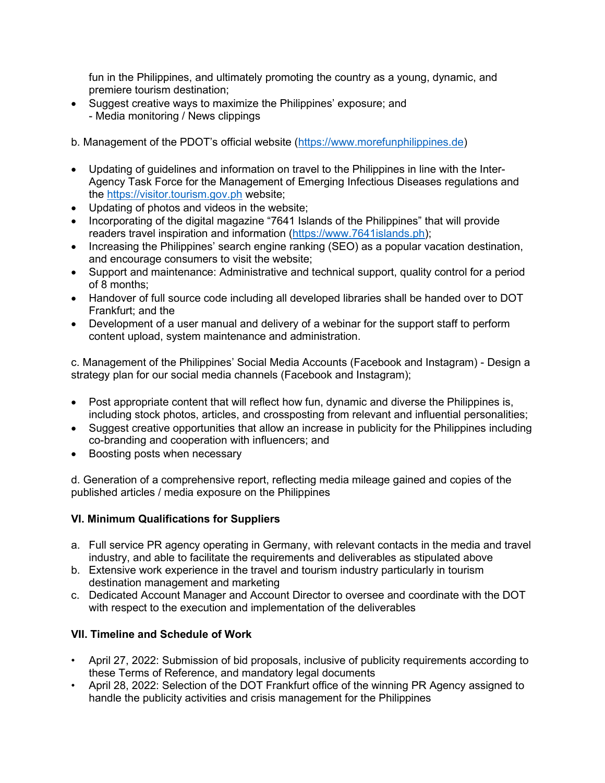fun in the Philippines, and ultimately promoting the country as a young, dynamic, and premiere tourism destination;

• Suggest creative ways to maximize the Philippines' exposure; and - Media monitoring / News clippings

b. Management of the PDOT's official website [\(https://www.morefunphilippines.de\)](https://www.morefunphilippines.de/)

- Updating of guidelines and information on travel to the Philippines in line with the Inter-Agency Task Force for the Management of Emerging Infectious Diseases regulations and the [https://visitor.tourism.gov.ph](https://visitor.tourism.gov.ph/) website;
- Updating of photos and videos in the website;
- Incorporating of the digital magazine "7641 Islands of the Philippines" that will provide readers travel inspiration and information [\(https://www.7641islands.ph\)](https://www.7641islands.ph/);
- Increasing the Philippines' search engine ranking (SEO) as a popular vacation destination, and encourage consumers to visit the website;
- Support and maintenance: Administrative and technical support, quality control for a period of 8 months;
- Handover of full source code including all developed libraries shall be handed over to DOT Frankfurt; and the
- Development of a user manual and delivery of a webinar for the support staff to perform content upload, system maintenance and administration.

c. Management of the Philippines' Social Media Accounts (Facebook and Instagram) - Design a strategy plan for our social media channels (Facebook and Instagram);

- Post appropriate content that will reflect how fun, dynamic and diverse the Philippines is, including stock photos, articles, and crossposting from relevant and influential personalities;
- Suggest creative opportunities that allow an increase in publicity for the Philippines including co-branding and cooperation with influencers; and
- Boosting posts when necessary

d. Generation of a comprehensive report, reflecting media mileage gained and copies of the published articles / media exposure on the Philippines

## **VI. Minimum Qualifications for Suppliers**

- a. Full service PR agency operating in Germany, with relevant contacts in the media and travel industry, and able to facilitate the requirements and deliverables as stipulated above
- b. Extensive work experience in the travel and tourism industry particularly in tourism destination management and marketing
- c. Dedicated Account Manager and Account Director to oversee and coordinate with the DOT with respect to the execution and implementation of the deliverables

## **VII. Timeline and Schedule of Work**

- April 27, 2022: Submission of bid proposals, inclusive of publicity requirements according to these Terms of Reference, and mandatory legal documents
- April 28, 2022: Selection of the DOT Frankfurt office of the winning PR Agency assigned to handle the publicity activities and crisis management for the Philippines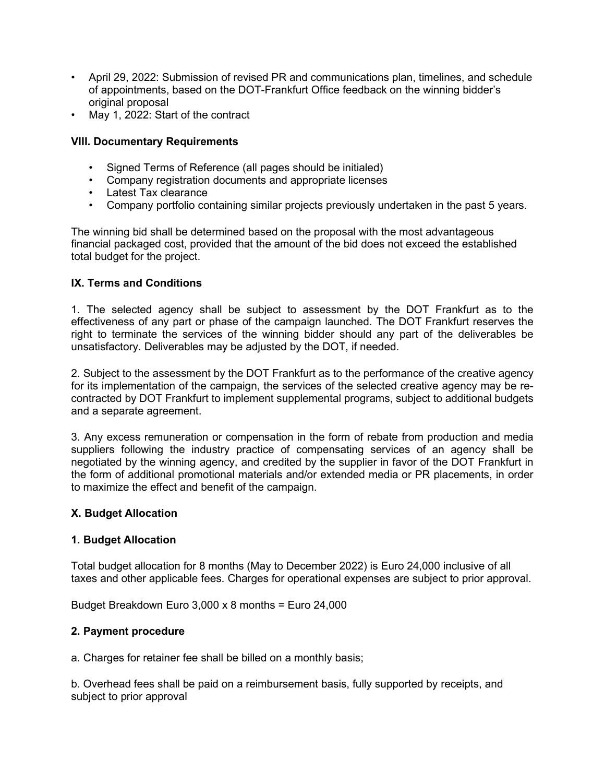- April 29, 2022: Submission of revised PR and communications plan, timelines, and schedule of appointments, based on the DOT-Frankfurt Office feedback on the winning bidder's original proposal
- May 1, 2022: Start of the contract

## **VIII. Documentary Requirements**

- Signed Terms of Reference (all pages should be initialed)
- Company registration documents and appropriate licenses
- Latest Tax clearance
- Company portfolio containing similar projects previously undertaken in the past 5 years.

The winning bid shall be determined based on the proposal with the most advantageous financial packaged cost, provided that the amount of the bid does not exceed the established total budget for the project.

## **IX. Terms and Conditions**

1. The selected agency shall be subject to assessment by the DOT Frankfurt as to the effectiveness of any part or phase of the campaign launched. The DOT Frankfurt reserves the right to terminate the services of the winning bidder should any part of the deliverables be unsatisfactory. Deliverables may be adjusted by the DOT, if needed.

2. Subject to the assessment by the DOT Frankfurt as to the performance of the creative agency for its implementation of the campaign, the services of the selected creative agency may be recontracted by DOT Frankfurt to implement supplemental programs, subject to additional budgets and a separate agreement.

3. Any excess remuneration or compensation in the form of rebate from production and media suppliers following the industry practice of compensating services of an agency shall be negotiated by the winning agency, and credited by the supplier in favor of the DOT Frankfurt in the form of additional promotional materials and/or extended media or PR placements, in order to maximize the effect and benefit of the campaign.

### **X. Budget Allocation**

### **1. Budget Allocation**

Total budget allocation for 8 months (May to December 2022) is Euro 24,000 inclusive of all taxes and other applicable fees. Charges for operational expenses are subject to prior approval.

Budget Breakdown Euro 3,000 x 8 months = Euro 24,000

### **2. Payment procedure**

a. Charges for retainer fee shall be billed on a monthly basis;

b. Overhead fees shall be paid on a reimbursement basis, fully supported by receipts, and subject to prior approval